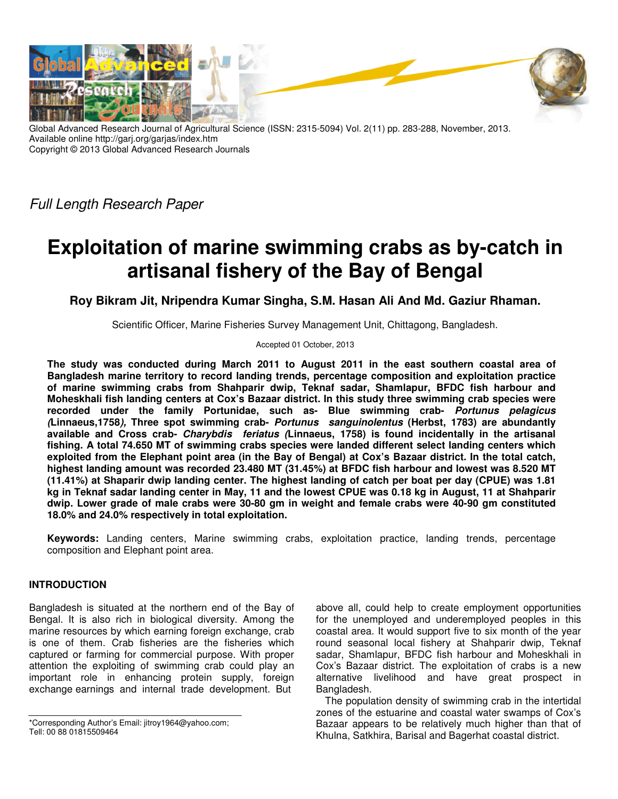

Global Advanced Research Journal of Agricultural Science (ISSN: 2315-5094) Vol. 2(11) pp. 283-288, November, 2013. Available online http://garj.org/garjas/index.htm Copyright © 2013 Global Advanced Research Journals

Full Length Research Paper

# **Exploitation of marine swimming crabs as by-catch in artisanal fishery of the Bay of Bengal**

**Roy Bikram Jit, Nripendra Kumar Singha, S.M. Hasan Ali And Md. Gaziur Rhaman.** 

Scientific Officer, Marine Fisheries Survey Management Unit, Chittagong, Bangladesh.

Accepted 01 October, 2013

**The study was conducted during March 2011 to August 2011 in the east southern coastal area of Bangladesh marine territory to record landing trends, percentage composition and exploitation practice of marine swimming crabs from Shahparir dwip, Teknaf sadar, Shamlapur, BFDC fish harbour and Moheskhali fish landing centers at Cox's Bazaar district. In this study three swimming crab species were recorded under the family Portunidae, such as- Blue swimming crab- Portunus pelagicus (Linnaeus,1758), Three spot swimming crab- Portunus sanguinolentus (Herbst, 1783) are abundantly available and Cross crab- Charybdis feriatus (Linnaeus, 1758) is found incidentally in the artisanal fishing. A total 74.650 MT of swimming crabs species were landed different select landing centers which exploited from the Elephant point area (in the Bay of Bengal) at Cox's Bazaar district. In the total catch, highest landing amount was recorded 23.480 MT (31.45%) at BFDC fish harbour and lowest was 8.520 MT (11.41%) at Shaparir dwip landing center. The highest landing of catch per boat per day (CPUE) was 1.81 kg in Teknaf sadar landing center in May, 11 and the lowest CPUE was 0.18 kg in August, 11 at Shahparir dwip. Lower grade of male crabs were 30-80 gm in weight and female crabs were 40-90 gm constituted 18.0% and 24.0% respectively in total exploitation.** 

**Keywords:** Landing centers, Marine swimming crabs, exploitation practice, landing trends, percentage composition and Elephant point area.

## **INTRODUCTION**

Bangladesh is situated at the northern end of the Bay of Bengal. It is also rich in biological diversity. Among the marine resources by which earning foreign exchange, crab is one of them. Crab fisheries are the fisheries which captured or farming for commercial purpose. With proper attention the exploiting of swimming crab could play an important role in enhancing protein supply, foreign exchange earnings and internal trade development. But

\*Corresponding Author's Email: jitroy1964@yahoo.com; Tell: 00 88 01815509464

above all, could help to create employment opportunities for the unemployed and underemployed peoples in this coastal area. It would support five to six month of the year round seasonal local fishery at Shahparir dwip, Teknaf sadar, Shamlapur, BFDC fish harbour and Moheskhali in Cox's Bazaar district. The exploitation of crabs is a new alternative livelihood and have great prospect in Bangladesh.

The population density of swimming crab in the intertidal zones of the estuarine and coastal water swamps of Cox's Bazaar appears to be relatively much higher than that of Khulna, Satkhira, Barisal and Bagerhat coastal district.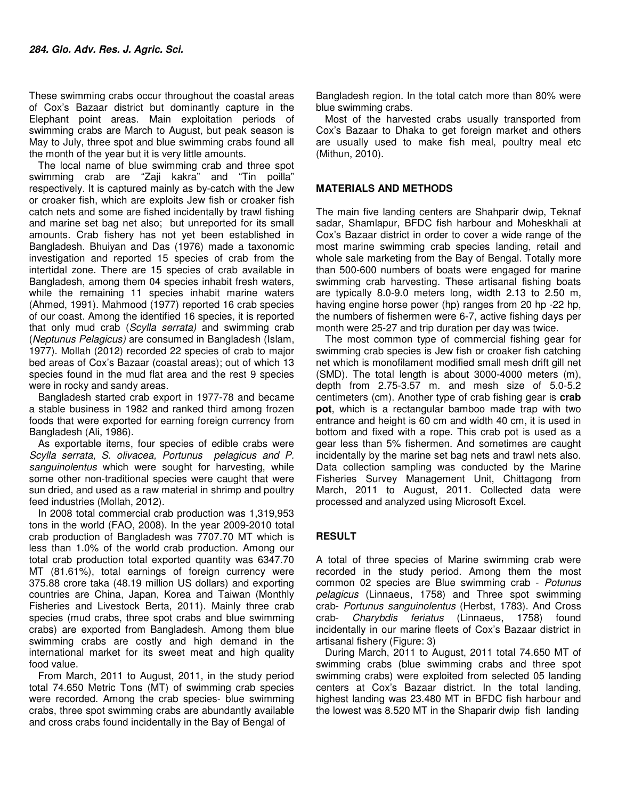These swimming crabs occur throughout the coastal areas of Cox's Bazaar district but dominantly capture in the Elephant point areas. Main exploitation periods of swimming crabs are March to August, but peak season is May to July, three spot and blue swimming crabs found all the month of the year but it is very little amounts.

The local name of blue swimming crab and three spot swimming crab are "Zaji kakra" and "Tin poilla" respectively. It is captured mainly as by-catch with the Jew or croaker fish, which are exploits Jew fish or croaker fish catch nets and some are fished incidentally by trawl fishing and marine set bag net also; but unreported for its small amounts. Crab fishery has not yet been established in Bangladesh. Bhuiyan and Das (1976) made a taxonomic investigation and reported 15 species of crab from the intertidal zone. There are 15 species of crab available in Bangladesh, among them 04 species inhabit fresh waters, while the remaining 11 species inhabit marine waters (Ahmed, 1991). Mahmood (1977) reported 16 crab species of our coast. Among the identified 16 species, it is reported that only mud crab (Scylla serrata) and swimming crab (Neptunus Pelagicus) are consumed in Bangladesh (Islam, 1977). Mollah (2012) recorded 22 species of crab to major bed areas of Cox's Bazaar (coastal areas); out of which 13 species found in the mud flat area and the rest 9 species were in rocky and sandy areas.

Bangladesh started crab export in 1977-78 and became a stable business in 1982 and ranked third among frozen foods that were exported for earning foreign currency from Bangladesh (Ali, 1986).

As exportable items, four species of edible crabs were Scylla serrata, S. olivacea, Portunus pelagicus and P. sanguinolentus which were sought for harvesting, while some other non-traditional species were caught that were sun dried, and used as a raw material in shrimp and poultry feed industries (Mollah, 2012).

In 2008 total commercial crab production was 1,319,953 tons in the world (FAO, 2008). In the year 2009-2010 total crab production of Bangladesh was 7707.70 MT which is less than 1.0% of the world crab production. Among our total crab production total exported quantity was 6347.70 MT (81.61%), total earnings of foreign currency were 375.88 crore taka (48.19 million US dollars) and exporting countries are China, Japan, Korea and Taiwan (Monthly Fisheries and Livestock Berta, 2011). Mainly three crab species (mud crabs, three spot crabs and blue swimming crabs) are exported from Bangladesh. Among them blue swimming crabs are costly and high demand in the international market for its sweet meat and high quality food value.

From March, 2011 to August, 2011, in the study period total 74.650 Metric Tons (MT) of swimming crab species were recorded. Among the crab species- blue swimming crabs, three spot swimming crabs are abundantly available and cross crabs found incidentally in the Bay of Bengal of

Bangladesh region. In the total catch more than 80% were blue swimming crabs.

Most of the harvested crabs usually transported from Cox's Bazaar to Dhaka to get foreign market and others are usually used to make fish meal, poultry meal etc (Mithun, 2010).

### **MATERIALS AND METHODS**

The main five landing centers are Shahparir dwip, Teknaf sadar, Shamlapur, BFDC fish harbour and Moheskhali at Cox's Bazaar district in order to cover a wide range of the most marine swimming crab species landing, retail and whole sale marketing from the Bay of Bengal. Totally more than 500-600 numbers of boats were engaged for marine swimming crab harvesting. These artisanal fishing boats are typically 8.0-9.0 meters long, width 2.13 to 2.50 m, having engine horse power (hp) ranges from 20 hp -22 hp, the numbers of fishermen were 6-7, active fishing days per month were 25-27 and trip duration per day was twice.

The most common type of commercial fishing gear for swimming crab species is Jew fish or croaker fish catching net which is monofilament modified small mesh drift gill net (SMD). The total length is about 3000-4000 meters (m), depth from 2.75-3.57 m. and mesh size of 5.0-5.2 centimeters (cm). Another type of crab fishing gear is **crab pot**, which is a rectangular bamboo made trap with two entrance and height is 60 cm and width 40 cm, it is used in bottom and fixed with a rope. This crab pot is used as a gear less than 5% fishermen. And sometimes are caught incidentally by the marine set bag nets and trawl nets also. Data collection sampling was conducted by the Marine Fisheries Survey Management Unit, Chittagong from March, 2011 to August, 2011. Collected data were processed and analyzed using Microsoft Excel.

### **RESULT**

A total of three species of Marine swimming crab were recorded in the study period. Among them the most common 02 species are Blue swimming crab - Potunus pelagicus (Linnaeus, 1758) and Three spot swimming crab- Portunus sanguinolentus (Herbst, 1783). And Cross crab- Charybdis feriatus (Linnaeus, 1758) found incidentally in our marine fleets of Cox's Bazaar district in artisanal fishery (Figure: 3)

During March, 2011 to August, 2011 total 74.650 MT of swimming crabs (blue swimming crabs and three spot swimming crabs) were exploited from selected 05 landing centers at Cox's Bazaar district. In the total landing, highest landing was 23.480 MT in BFDC fish harbour and the lowest was 8.520 MT in the Shaparir dwip fish landing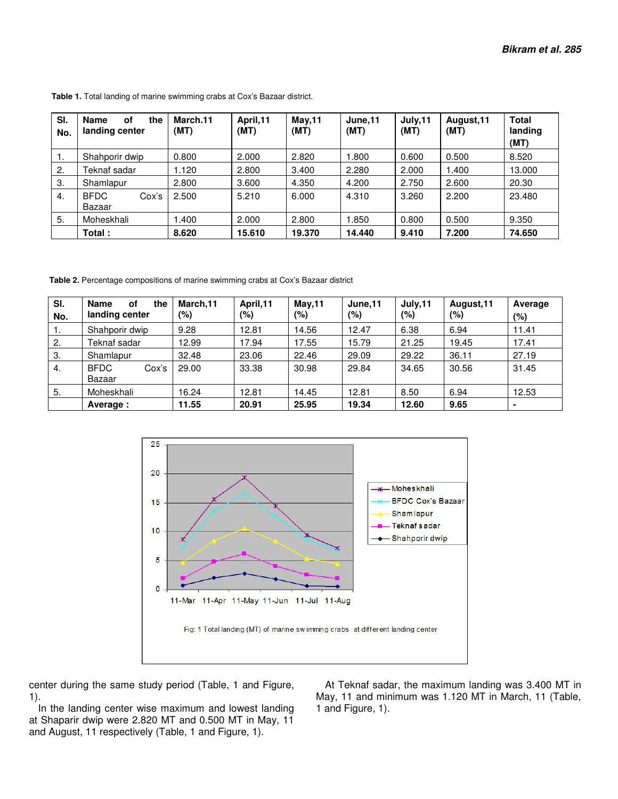| SI.<br>No. | <b>Name</b><br>οf<br>the<br>landing center | March.11<br>(MT) | April, 11<br>(MT) | <b>May,11</b><br>(MT) | June, 11<br>(MT) | July,11<br>(MT) | August, 11<br>(MT) | <b>Total</b><br>landing<br>(MT) |
|------------|--------------------------------------------|------------------|-------------------|-----------------------|------------------|-----------------|--------------------|---------------------------------|
| Ι.         | Shahporir dwip                             | 0.800            | 2.000             | 2.820                 | 1.800            | 0.600           | 0.500              | 8.520                           |
| 2.         | Teknaf sadar                               | 1.120            | 2.800             | 3.400                 | 2.280            | 2.000           | 1.400              | 13.000                          |
| 3.         | Shamlapur                                  | 2.800            | 3.600             | 4.350                 | 4.200            | 2.750           | 2.600              | 20.30                           |
| 4.         | <b>BFDC</b><br>Cox's<br>Bazaar             | 2.500            | 5.210             | 6.000                 | 4.310            | 3.260           | 2.200              | 23.480                          |
| 5.         | Moheskhali                                 | .400             | 2.000             | 2.800                 | 1.850            | 0.800           | 0.500              | 9.350                           |
|            | Total:                                     | 8.620            | 15.610            | 19.370                | 14.440           | 9.410           | 7.200              | 74.650                          |

 **Table 1.** Total landing of marine swimming crabs at Cox's Bazaar district.

 **Table 2.** Percentage compositions of marine swimming crabs at Cox's Bazaar district

| SI.<br>No. | <b>Name</b><br>the<br>οf<br>landing center | March, 11<br>(%) | April, 11<br>(%) | <b>May,11</b><br>(%) | June, 11<br>(%) | July, 11<br>(%) | August, 11<br>(%) | Average<br>$(\% )$ |
|------------|--------------------------------------------|------------------|------------------|----------------------|-----------------|-----------------|-------------------|--------------------|
| . .        | Shahporir dwip                             | 9.28             | 12.81            | 14.56                | 12.47           | 6.38            | 6.94              | 11.41              |
| 2.         | Teknaf sadar                               | 12.99            | 17.94            | 17.55                | 15.79           | 21.25           | 19.45             | 17.41              |
| 3.         | Shamlapur                                  | 32.48            | 23.06            | 22.46                | 29.09           | 29.22           | 36.11             | 27.19              |
| 4.         | <b>BFDC</b><br>Cox's<br>Bazaar             | 29.00            | 33.38            | 30.98                | 29.84           | 34.65           | 30.56             | 31.45              |
| 5.         | Moheskhali                                 | 16.24            | 12.81            | 14.45                | 12.81           | 8.50            | 6.94              | 12.53              |
|            | Average:                                   | 11.55            | 20.91            | 25.95                | 19.34           | 12.60           | 9.65              | $\blacksquare$     |



center during the same study period (Table, 1 and Figure, 1).

In the landing center wise maximum and lowest landing at Shaparir dwip were 2.820 MT and 0.500 MT in May, 11 and August, 11 respectively (Table, 1 and Figure, 1).

At Teknaf sadar, the maximum landing was 3.400 MT in May, 11 and minimum was 1.120 MT in March, 11 (Table, 1 and Figure, 1).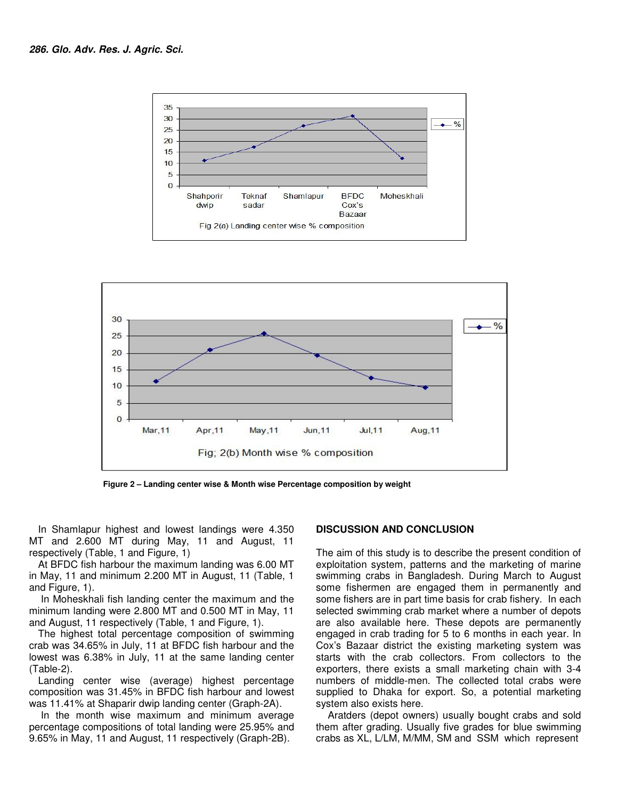



 **Figure 2 – Landing center wise & Month wise Percentage composition by weight** 

In Shamlapur highest and lowest landings were 4.350 MT and 2.600 MT during May, 11 and August, 11 respectively (Table, 1 and Figure, 1)

At BFDC fish harbour the maximum landing was 6.00 MT in May, 11 and minimum 2.200 MT in August, 11 (Table, 1 and Figure, 1).

 In Moheskhali fish landing center the maximum and the minimum landing were 2.800 MT and 0.500 MT in May, 11 and August, 11 respectively (Table, 1 and Figure, 1).

The highest total percentage composition of swimming crab was 34.65% in July, 11 at BFDC fish harbour and the lowest was 6.38% in July, 11 at the same landing center (Table-2).

Landing center wise (average) highest percentage composition was 31.45% in BFDC fish harbour and lowest was 11.41% at Shaparir dwip landing center (Graph-2A).

 In the month wise maximum and minimum average percentage compositions of total landing were 25.95% and 9.65% in May, 11 and August, 11 respectively (Graph-2B).

### **DISCUSSION AND CONCLUSION**

The aim of this study is to describe the present condition of exploitation system, patterns and the marketing of marine swimming crabs in Bangladesh. During March to August some fishermen are engaged them in permanently and some fishers are in part time basis for crab fishery. In each selected swimming crab market where a number of depots are also available here. These depots are permanently engaged in crab trading for 5 to 6 months in each year. In Cox's Bazaar district the existing marketing system was starts with the crab collectors. From collectors to the exporters, there exists a small marketing chain with 3-4 numbers of middle-men. The collected total crabs were supplied to Dhaka for export. So, a potential marketing system also exists here.

 Aratders (depot owners) usually bought crabs and sold them after grading. Usually five grades for blue swimming crabs as XL, L/LM, M/MM, SM and SSM which represent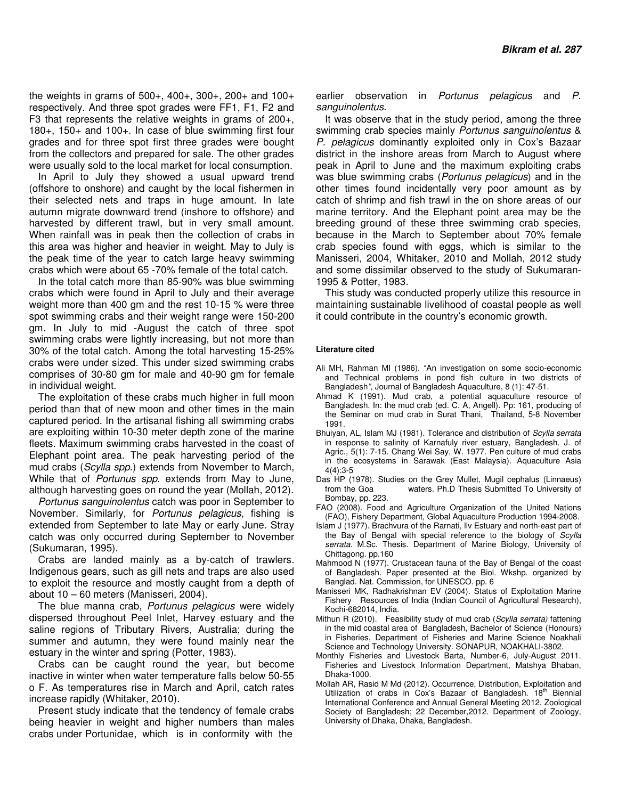the weights in grams of  $500+$ ,  $400+$ ,  $300+$ ,  $200+$  and  $100+$ respectively. And three spot grades were FF1, F1, F2 and F3 that represents the relative weights in grams of 200+, 180+, 150+ and 100+. In case of blue swimming first four grades and for three spot first three grades were bought from the collectors and prepared for sale. The other grades were usually sold to the local market for local consumption.

In April to July they showed a usual upward trend (offshore to onshore) and caught by the local fishermen in their selected nets and traps in huge amount. In late autumn migrate downward trend (inshore to offshore) and harvested by different trawl, but in very small amount. When rainfall was in peak then the collection of crabs in this area was higher and heavier in weight. May to July is the peak time of the year to catch large heavy swimming crabs which were about 65 -70% female of the total catch.

In the total catch more than 85-90% was blue swimming crabs which were found in April to July and their average weight more than 400 gm and the rest 10-15 % were three spot swimming crabs and their weight range were 150-200 gm. In July to mid -August the catch of three spot swimming crabs were lightly increasing, but not more than 30% of the total catch. Among the total harvesting 15-25% crabs were under sized. This under sized swimming crabs comprises of 30-80 gm for male and 40-90 gm for female in individual weight.

The exploitation of these crabs much higher in full moon period than that of new moon and other times in the main captured period. In the artisanal fishing all swimming crabs are exploiting within 10-30 meter depth zone of the marine fleets. Maximum swimming crabs harvested in the coast of Elephant point area. The peak harvesting period of the mud crabs (Scylla spp.) extends from November to March, While that of *Portunus spp.* extends from May to June, although harvesting goes on round the year (Mollah, 2012).

Portunus sanguinolentus catch was poor in September to November. Similarly, for Portunus pelagicus, fishing is extended from September to late May or early June. Stray catch was only occurred during September to November (Sukumaran, 1995).

Crabs are landed mainly as a by-catch of trawlers. Indigenous gears, such as gill nets and traps are also used to exploit the resource and mostly caught from a depth of about 10 – 60 meters (Manisseri, 2004).

The blue manna crab, *Portunus pelagicus* were widely dispersed throughout Peel Inlet, Harvey estuary and the saline regions of Tributary Rivers, Australia; during the summer and autumn, they were found mainly near the estuary in the winter and spring (Potter, 1983).

Crabs can be caught round the year, but become inactive in winter when water temperature falls below 50-55 o F. As temperatures rise in March and April, catch rates increase rapidly (Whitaker, 2010).

Present study indicate that the tendency of female crabs being heavier in weight and higher numbers than males crabs under Portunidae, which is in conformity with the

earlier observation in Portunus pelagicus and P. sanguinolentus.

It was observe that in the study period, among the three swimming crab species mainly Portunus sanguinolentus & P. pelagicus dominantly exploited only in Cox's Bazaar district in the inshore areas from March to August where peak in April to June and the maximum exploiting crabs was blue swimming crabs (Portunus pelagicus) and in the other times found incidentally very poor amount as by catch of shrimp and fish trawl in the on shore areas of our marine territory. And the Elephant point area may be the breeding ground of these three swimming crab species, because in the March to September about 70% female crab species found with eggs, which is similar to the Manisseri, 2004, Whitaker, 2010 and Mollah, 2012 study and some dissimilar observed to the study of Sukumaran-1995 & Potter, 1983.

This study was conducted properly utilize this resource in maintaining sustainable livelihood of coastal people as well it could contribute in the country's economic growth.

#### **Literature cited**

- Ali MH, Rahman MI (1986). "An investigation on some socio-economic and Technical problems in pond fish culture in two districts of Bangladesh", Journal of Bangladesh Aquaculture, 8 (1): 47-51.
- Ahmad K (1991). Mud crab, a potential aquaculture resource of Bangladesh. In: the mud crab (ed. C. A, Angell). Pp: 161, producing of the Seminar on mud crab in Surat Thani, Thailand, 5-8 November 1991.
- Bhuiyan, AL, Islam MJ (1981). Tolerance and distribution of Scylla serrata in response to salinity of Karnafuly river estuary, Bangladesh. J. of Agric., 5(1): 7-15. Chang Wei Say, W. 1977. Pen culture of mud crabs in the ecosystems in Sarawak (East Malaysia). Aquaculture Asia 4(4):3-5
- Das HP (1978). Studies on the Grey Mullet, Mugil cephalus (Linnaeus) from the Goa waters. Ph.D Thesis Submitted To University of Bombay, pp. 223.
- FAO (2008). Food and Agriculture Organization of the United Nations (FAO), Fishery Department, Global Aquaculture Production 1994-2008.
- Islam J (1977). Brachvura of the Rarnati, llv Estuary and north-east part of the Bay of Bengal with special reference to the biology of Scylla serrata. M.Sc. Thesis. Department of Marine Biology, University of Chittagong. pp.160
- Mahmood N (1977). Crustacean fauna of the Bay of Bengal of the coast of Bangladesh. Paper presented at the Biol. Wkshp. organized by Banglad. Nat. Commission, for UNESCO. pp. 6
- Manisseri MK, Radhakrishnan EV (2004). Status of Exploitation Marine Fishery Resources of India (Indian Council of Agricultural Research), Kochi-682014, India.
- Mithun R (2010). Feasibility study of mud crab (Scylla serrata) fattening in the mid coastal area of Bangladesh, Bachelor of Science (Honours) in Fisheries, Department of Fisheries and Marine Science Noakhali Science and Technology University. SONAPUR, NOAKHALI-3802.
- Monthly Fisheries and Livestock Barta, Number-6, July-August 2011. Fisheries and Livestock Information Department, Matshya Bhaban, Dhaka-1000.
- Mollah AR, Rasid M Md (2012). Occurrence, Distribution, Exploitation and Utilization of crabs in Cox's Bazaar of Bangladesh. 18<sup>th</sup> Biennial International Conference and Annual General Meeting 2012. Zoological Society of Bangladesh; 22 December,2012. Department of Zoology, University of Dhaka, Dhaka, Bangladesh.